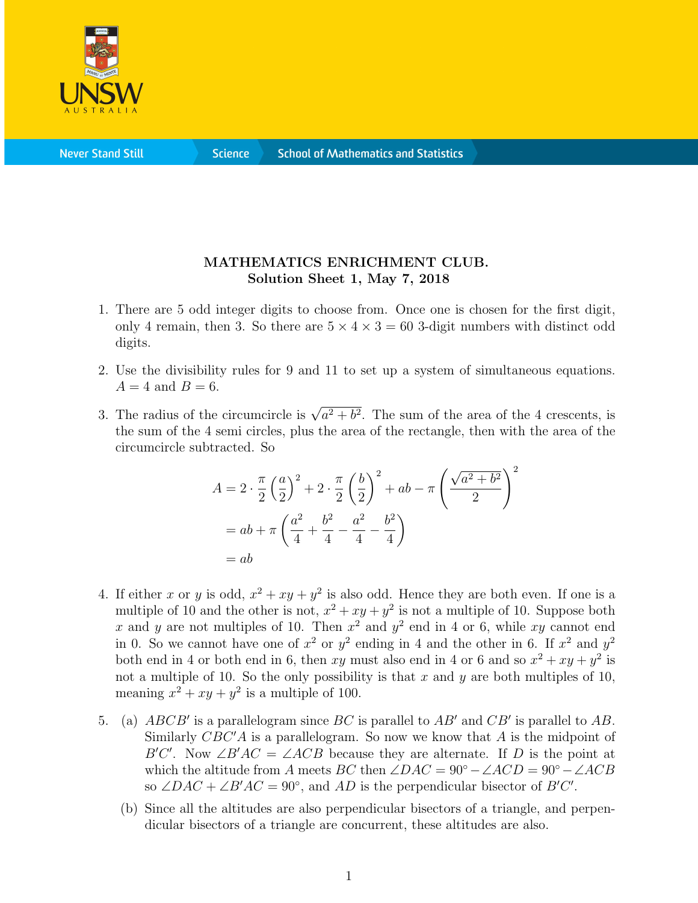

**Science** 

## MATHEMATICS ENRICHMENT CLUB. Solution Sheet 1, May 7, 2018

- 1. There are 5 odd integer digits to choose from. Once one is chosen for the first digit, only 4 remain, then 3. So there are  $5 \times 4 \times 3 = 60$  3-digit numbers with distinct odd digits.
- 2. Use the divisibility rules for 9 and 11 to set up a system of simultaneous equations.  $A = 4$  and  $B = 6$ .
- 3. The radius of the circumcircle is  $\sqrt{a^2 + b^2}$ . The sum of the area of the 4 crescents, is the sum of the 4 semi circles, plus the area of the rectangle, then with the area of the circumcircle subtracted. So

$$
A = 2 \cdot \frac{\pi}{2} \left(\frac{a}{2}\right)^2 + 2 \cdot \frac{\pi}{2} \left(\frac{b}{2}\right)^2 + ab - \pi \left(\frac{\sqrt{a^2 + b^2}}{2}\right)^2
$$
  
=  $ab + \pi \left(\frac{a^2}{4} + \frac{b^2}{4} - \frac{a^2}{4} - \frac{b^2}{4}\right)$   
=  $ab$ 

- 4. If either x or y is odd,  $x^2 + xy + y^2$  is also odd. Hence they are both even. If one is a multiple of 10 and the other is not,  $x^2 + xy + y^2$  is not a multiple of 10. Suppose both x and y are not multiples of 10. Then  $x^2$  and  $y^2$  end in 4 or 6, while xy cannot end in 0. So we cannot have one of  $x^2$  or  $y^2$  ending in 4 and the other in 6. If  $x^2$  and  $y^2$ both end in 4 or both end in 6, then xy must also end in 4 or 6 and so  $x^2 + xy + y^2$  is not a multiple of 10. So the only possibility is that x and y are both multiples of 10, meaning  $x^2 + xy + y^2$  is a multiple of 100.
- 5. (a)  $ABCB'$  is a parallelogram since BC is parallel to  $AB'$  and  $CB'$  is parallel to  $AB$ . Similarly  $CBC'A$  is a parallelogram. So now we know that A is the midpoint of B'C'. Now  $\angle B'AC = \angle ACB$  because they are alternate. If D is the point at which the altitude from A meets BC then  $\angle DAC = 90^{\circ} - \angle ACD = 90^{\circ} - \angle ACB$ so  $\angle DAC + \angle B'AC = 90^\circ$ , and AD is the perpendicular bisector of  $B'C'$ .
	- (b) Since all the altitudes are also perpendicular bisectors of a triangle, and perpendicular bisectors of a triangle are concurrent, these altitudes are also.